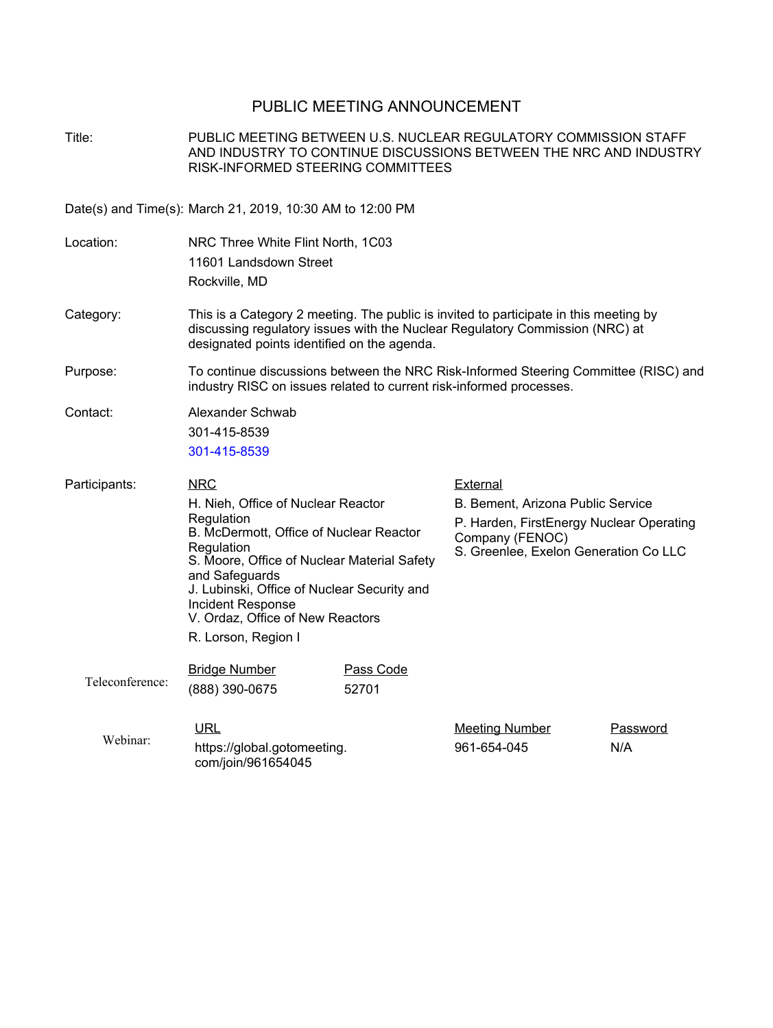## PUBLIC MEETING ANNOUNCEMENT

Title: PUBLIC MEETING BETWEEN U.S. NUCLEAR REGULATORY COMMISSION STAFF AND INDUSTRY TO CONTINUE DISCUSSIONS BETWEEN THE NRC AND INDUSTRY RISK-INFORMED STEERING COMMITTEES Date(s) and Time(s): March 21, 2019, 10:30 AM to 12:00 PM Location: NRC Three White Flint North, 1C03 11601 Landsdown Street Rockville, MD

- Category: This is a Category 2 meeting. The public is invited to participate in this meeting by discussing regulatory issues with the Nuclear Regulatory Commission (NRC) at designated points identified on the agenda.
- Purpose: To continue discussions between the NRC Risk-Informed Steering Committee (RISC) and industry RISC on issues related to current risk-informed processes.

Contact: Alexander Schwab 301-415-8539 301-415-8539

| Participants:   | <b>NRC</b>                                                                                                                                                                                                                                                                         |                    | External                                                                                                                                  |  |
|-----------------|------------------------------------------------------------------------------------------------------------------------------------------------------------------------------------------------------------------------------------------------------------------------------------|--------------------|-------------------------------------------------------------------------------------------------------------------------------------------|--|
|                 | H. Nieh, Office of Nuclear Reactor<br>Regulation<br>B. McDermott, Office of Nuclear Reactor<br>Regulation<br>S. Moore, Office of Nuclear Material Safety<br>and Safeguards<br>J. Lubinski, Office of Nuclear Security and<br>Incident Response<br>V. Ordaz, Office of New Reactors |                    | B. Bement, Arizona Public Service<br>P. Harden, FirstEnergy Nuclear Operating<br>Company (FENOC)<br>S. Greenlee, Exelon Generation Co LLC |  |
|                 | R. Lorson, Region I                                                                                                                                                                                                                                                                |                    |                                                                                                                                           |  |
| Teleconference: | <b>Bridge Number</b><br>(888) 390-0675                                                                                                                                                                                                                                             | Pass Code<br>52701 |                                                                                                                                           |  |

| Webinar: | <u>URL</u>                                        | Meeting Number | Password |
|----------|---------------------------------------------------|----------------|----------|
|          | https://global.gotomeeting.<br>com/join/961654045 | 961-654-045    | N/A      |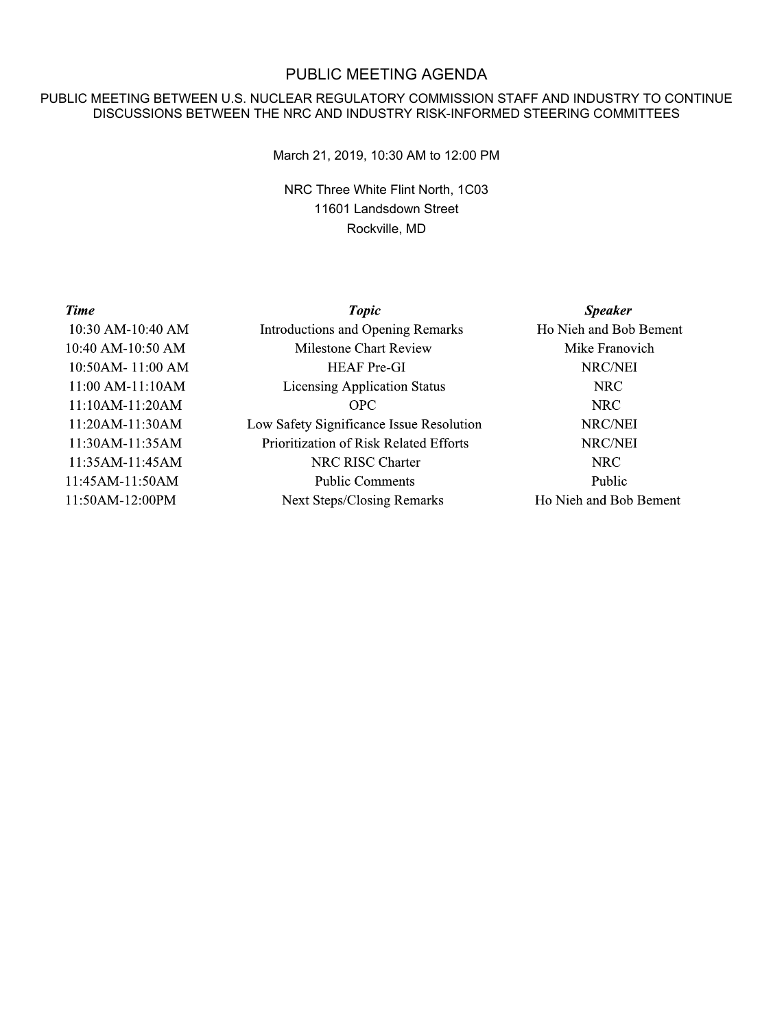# PUBLIC MEETING AGENDA

### PUBLIC MEETING BETWEEN U.S. NUCLEAR REGULATORY COMMISSION STAFF AND INDUSTRY TO CONTINUE DISCUSSIONS BETWEEN THE NRC AND INDUSTRY RISK-INFORMED STEERING COMMITTEES

March 21, 2019, 10:30 AM to 12:00 PM

NRC Three White Flint North, 1C03 11601 Landsdown Street Rockville, MD

#### **Time**

10:30 AM-10:40 AM 10:40 AM-10:50 AM 10:50AM-11:00 AM 11:00 AM-11:10AM 11:10AM-11:20AM 11:20AM-11:30AM 11:30AM-11:35AM 11:35AM-11:45AM 11:45AM-11:50AM 11:50AM-12:00PM

**Topic Introductions and Opening Remarks Milestone Chart Review HEAF Pre-GI Licensing Application Status OPC** Low Safety Significance Issue Resolution Prioritization of Risk Related Efforts NRC RISC Charter **Public Comments Next Steps/Closing Remarks** 

**Speaker** Ho Nieh and Bob Bement Mike Franovich NRC/NEI **NRC NRC** NRC/NEI NRC/NEI **NRC** Public Ho Nieh and Bob Bement